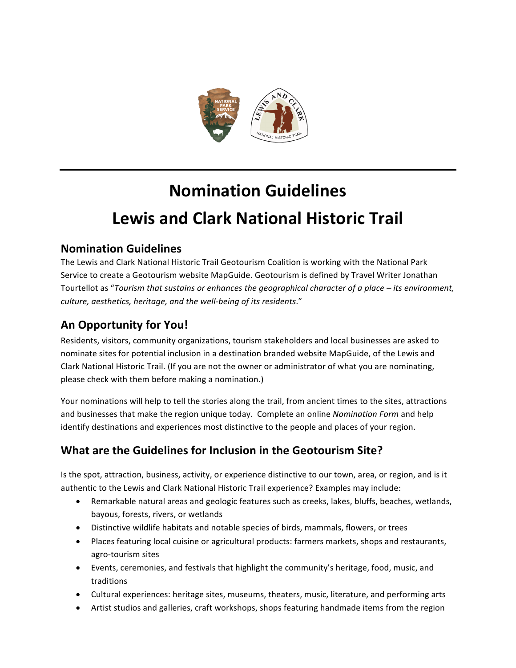

# **Nomination Guidelines** Lewis and Clark National Historic Trail

## **Nomination Guidelines**

The Lewis and Clark National Historic Trail Geotourism Coalition is working with the National Park Service to create a Geotourism website MapGuide. Geotourism is defined by Travel Writer Jonathan Tourtellot as "Tourism that sustains or enhances the geographical character of a place – its environment, *culture, aesthetics, heritage, and the well-being of its residents*." 

# **An Opportunity for You!**

Residents, visitors, community organizations, tourism stakeholders and local businesses are asked to nominate sites for potential inclusion in a destination branded website MapGuide, of the Lewis and Clark National Historic Trail. (If you are not the owner or administrator of what you are nominating, please check with them before making a nomination.)

Your nominations will help to tell the stories along the trail, from ancient times to the sites, attractions and businesses that make the region unique today. Complete an online *Nomination Form* and help identify destinations and experiences most distinctive to the people and places of your region.

# **What are the Guidelines for Inclusion in the Geotourism Site?**

Is the spot, attraction, business, activity, or experience distinctive to our town, area, or region, and is it authentic to the Lewis and Clark National Historic Trail experience? Examples may include:

- Remarkable natural areas and geologic features such as creeks, lakes, bluffs, beaches, wetlands, bayous, forests, rivers, or wetlands
- Distinctive wildlife habitats and notable species of birds, mammals, flowers, or trees
- Places featuring local cuisine or agricultural products: farmers markets, shops and restaurants, agro-tourism sites
- Events, ceremonies, and festivals that highlight the community's heritage, food, music, and traditions
- Cultural experiences: heritage sites, museums, theaters, music, literature, and performing arts
- Artist studios and galleries, craft workshops, shops featuring handmade items from the region